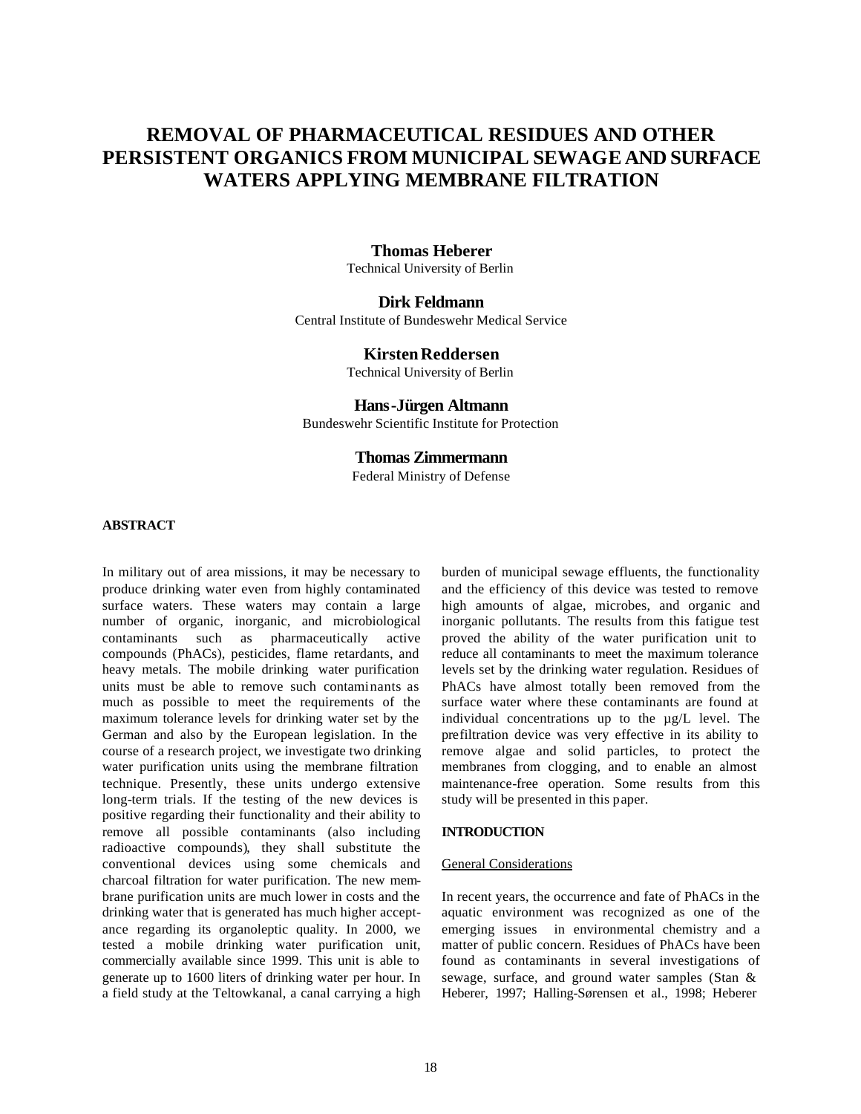# **REMOVAL OF PHARMACEUTICAL RESIDUES AND OTHER PERSISTENT ORGANICS FROM MUNICIPAL SEWAGE AND SURFACE WATERS APPLYING MEMBRANE FILTRATION**

## **Thomas Heberer**

Technical University of Berlin

## **Dirk Feldmann**

Central Institute of Bundeswehr Medical Service

## **Kirsten Reddersen**

Technical University of Berlin

## **Hans-Jürgen Altmann**

Bundeswehr Scientific Institute for Protection

## **Thomas Zimmermann**

Federal Ministry of Defense

## **ABSTRACT**

In military out of area missions, it may be necessary to produce drinking water even from highly contaminated surface waters. These waters may contain a large number of organic, inorganic, and microbiological contaminants such as pharmaceutically active compounds (PhACs), pesticides, flame retardants, and heavy metals. The mobile drinking water purification units must be able to remove such contaminants as much as possible to meet the requirements of the maximum tolerance levels for drinking water set by the German and also by the European legislation. In the course of a research project, we investigate two drinking water purification units using the membrane filtration technique. Presently, these units undergo extensive long-term trials. If the testing of the new devices is positive regarding their functionality and their ability to remove all possible contaminants (also including radioactive compounds), they shall substitute the conventional devices using some chemicals and charcoal filtration for water purification. The new membrane purification units are much lower in costs and the drinking water that is generated has much higher acceptance regarding its organoleptic quality. In 2000, we tested a mobile drinking water purification unit, commercially available since 1999. This unit is able to generate up to 1600 liters of drinking water per hour. In a field study at the Teltowkanal, a canal carrying a high

burden of municipal sewage effluents, the functionality and the efficiency of this device was tested to remove high amounts of algae, microbes, and organic and inorganic pollutants. The results from this fatigue test proved the ability of the water purification unit to reduce all contaminants to meet the maximum tolerance levels set by the drinking water regulation. Residues of PhACs have almost totally been removed from the surface water where these contaminants are found at individual concentrations up to the µg/L level. The prefiltration device was very effective in its ability to remove algae and solid particles, to protect the membranes from clogging, and to enable an almost maintenance-free operation. Some results from this study will be presented in this paper.

#### **INTRODUCTION**

#### General Considerations

In recent years, the occurrence and fate of PhACs in the aquatic environment was recognized as one of the emerging issues in environmental chemistry and a matter of public concern. Residues of PhACs have been found as contaminants in several investigations of sewage, surface, and ground water samples (Stan & Heberer, 1997; Halling-Sørensen et al., 1998; Heberer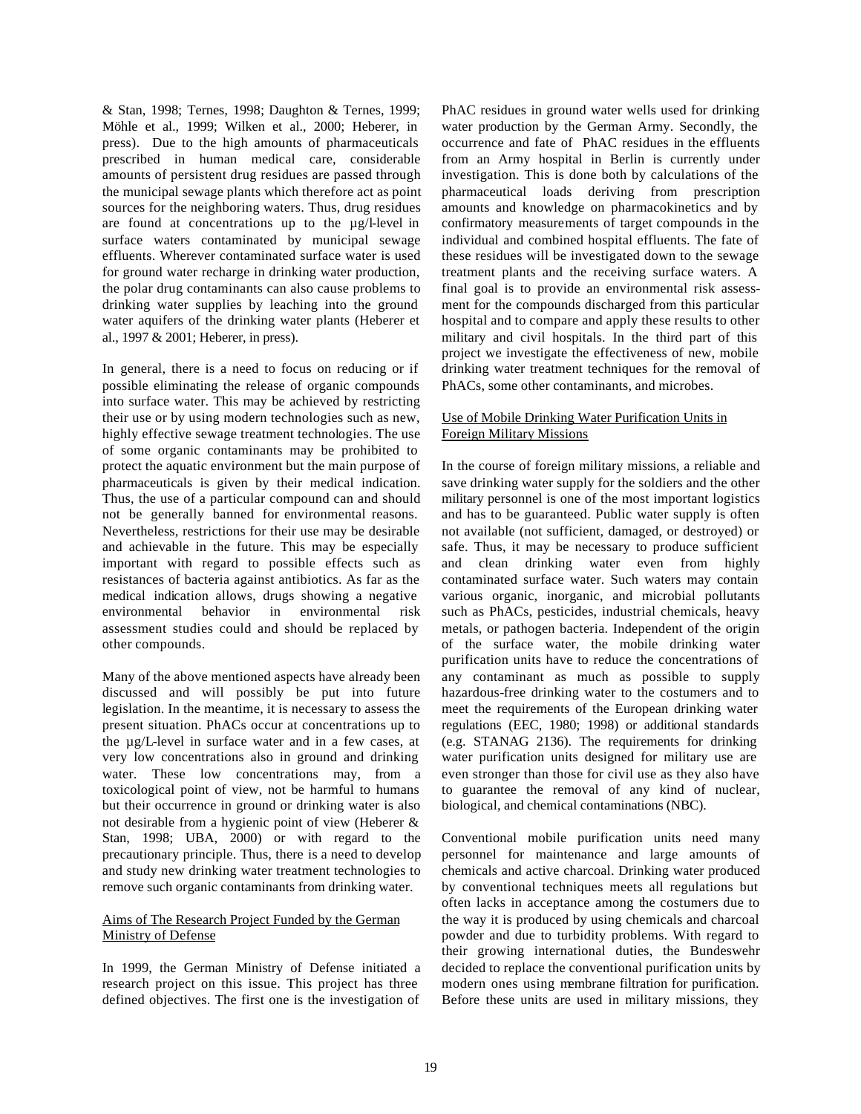& Stan, 1998; Ternes, 1998; Daughton & Ternes, 1999; Möhle et al., 1999; Wilken et al., 2000; Heberer, in press). Due to the high amounts of pharmaceuticals prescribed in human medical care, considerable amounts of persistent drug residues are passed through the municipal sewage plants which therefore act as point sources for the neighboring waters. Thus, drug residues are found at concentrations up to the µg/l-level in surface waters contaminated by municipal sewage effluents. Wherever contaminated surface water is used for ground water recharge in drinking water production, the polar drug contaminants can also cause problems to drinking water supplies by leaching into the ground water aquifers of the drinking water plants (Heberer et al., 1997 & 2001; Heberer, in press).

In general, there is a need to focus on reducing or if possible eliminating the release of organic compounds into surface water. This may be achieved by restricting their use or by using modern technologies such as new, highly effective sewage treatment technologies. The use of some organic contaminants may be prohibited to protect the aquatic environment but the main purpose of pharmaceuticals is given by their medical indication. Thus, the use of a particular compound can and should not be generally banned for environmental reasons. Nevertheless, restrictions for their use may be desirable and achievable in the future. This may be especially important with regard to possible effects such as resistances of bacteria against antibiotics. As far as the medical indication allows, drugs showing a negative environmental behavior in environmental risk assessment studies could and should be replaced by other compounds.

Many of the above mentioned aspects have already been discussed and will possibly be put into future legislation. In the meantime, it is necessary to assess the present situation. PhACs occur at concentrations up to the µg/L-level in surface water and in a few cases, at very low concentrations also in ground and drinking water. These low concentrations may, from a toxicological point of view, not be harmful to humans but their occurrence in ground or drinking water is also not desirable from a hygienic point of view (Heberer & Stan, 1998; UBA, 2000) or with regard to the precautionary principle. Thus, there is a need to develop and study new drinking water treatment technologies to remove such organic contaminants from drinking water.

## Aims of The Research Project Funded by the German Ministry of Defense

In 1999, the German Ministry of Defense initiated a research project on this issue. This project has three defined objectives. The first one is the investigation of PhAC residues in ground water wells used for drinking water production by the German Army. Secondly, the occurrence and fate of PhAC residues in the effluents from an Army hospital in Berlin is currently under investigation. This is done both by calculations of the pharmaceutical loads deriving from prescription amounts and knowledge on pharmacokinetics and by confirmatory measurements of target compounds in the individual and combined hospital effluents. The fate of these residues will be investigated down to the sewage treatment plants and the receiving surface waters. A final goal is to provide an environmental risk assessment for the compounds discharged from this particular hospital and to compare and apply these results to other military and civil hospitals. In the third part of this project we investigate the effectiveness of new, mobile drinking water treatment techniques for the removal of PhACs, some other contaminants, and microbes.

## Use of Mobile Drinking Water Purification Units in Foreign Military Missions

In the course of foreign military missions, a reliable and save drinking water supply for the soldiers and the other military personnel is one of the most important logistics and has to be guaranteed. Public water supply is often not available (not sufficient, damaged, or destroyed) or safe. Thus, it may be necessary to produce sufficient and clean drinking water even from highly contaminated surface water. Such waters may contain various organic, inorganic, and microbial pollutants such as PhACs, pesticides, industrial chemicals, heavy metals, or pathogen bacteria. Independent of the origin of the surface water, the mobile drinking water purification units have to reduce the concentrations of any contaminant as much as possible to supply hazardous-free drinking water to the costumers and to meet the requirements of the European drinking water regulations (EEC, 1980; 1998) or additional standards (e.g. STANAG 2136). The requirements for drinking water purification units designed for military use are even stronger than those for civil use as they also have to guarantee the removal of any kind of nuclear, biological, and chemical contaminations (NBC).

Conventional mobile purification units need many personnel for maintenance and large amounts of chemicals and active charcoal. Drinking water produced by conventional techniques meets all regulations but often lacks in acceptance among the costumers due to the way it is produced by using chemicals and charcoal powder and due to turbidity problems. With regard to their growing international duties, the Bundeswehr decided to replace the conventional purification units by modern ones using membrane filtration for purification. Before these units are used in military missions, they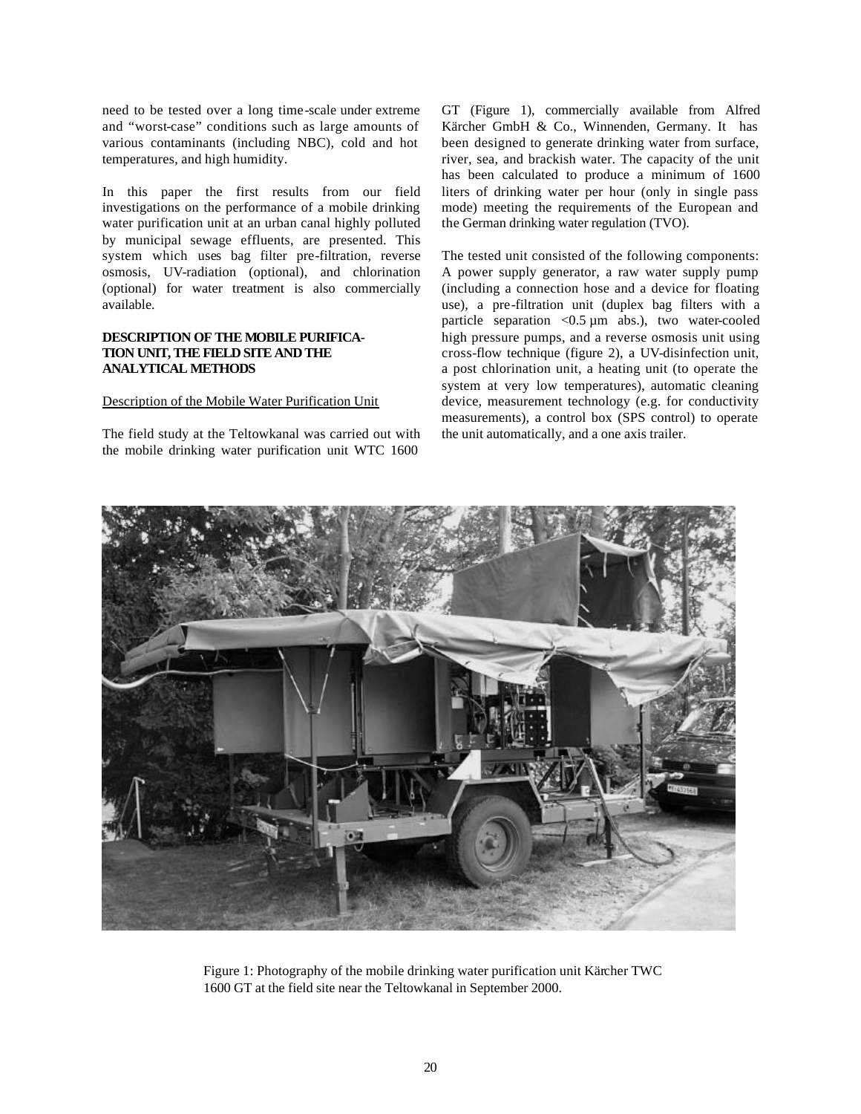need to be tested over a long time-scale under extreme and "worst-case" conditions such as large amounts of various contaminants (including NBC), cold and hot temperatures, and high humidity.

In this paper the first results from our field investigations on the performance of a mobile drinking water purification unit at an urban canal highly polluted by municipal sewage effluents, are presented. This system which uses bag filter pre-filtration, reverse osmosis, UV-radiation (optional), and chlorination (optional) for water treatment is also commercially available.

## **DESCRIPTION OF THE MOBILE PURIFICA-TION UNIT, THE FIELD SITE AND THE ANALYTICAL METHODS**

## Description of the Mobile Water Purification Unit

The field study at the Teltowkanal was carried out with the mobile drinking water purification unit WTC 1600

GT (Figure 1), commercially available from Alfred Kärcher GmbH & Co., Winnenden, Germany. It has been designed to generate drinking water from surface, river, sea, and brackish water. The capacity of the unit has been calculated to produce a minimum of 1600 liters of drinking water per hour (only in single pass mode) meeting the requirements of the European and the German drinking water regulation (TVO).

The tested unit consisted of the following components: A power supply generator, a raw water supply pump (including a connection hose and a device for floating use), a pre-filtration unit (duplex bag filters with a particle separation <0.5 µm abs.), two water-cooled high pressure pumps, and a reverse osmosis unit using cross-flow technique (figure 2), a UV-disinfection unit, a post chlorination unit, a heating unit (to operate the system at very low temperatures), automatic cleaning device, measurement technology (e.g. for conductivity measurements), a control box (SPS control) to operate the unit automatically, and a one axis trailer.



Figure 1: Photography of the mobile drinking water purification unit Kärcher TWC 1600 GT at the field site near the Teltowkanal in September 2000.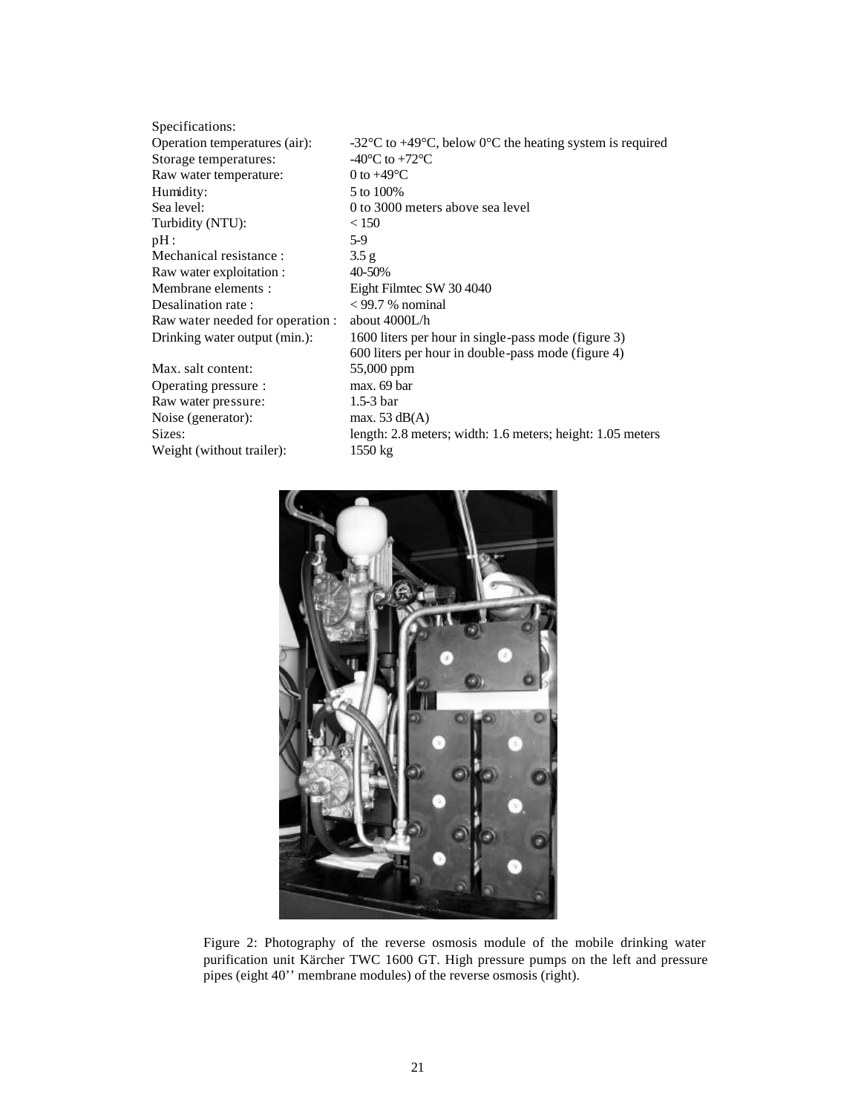| Specifications:                  |                                                                                                        |
|----------------------------------|--------------------------------------------------------------------------------------------------------|
| Operation temperatures (air):    | -32 $\rm{^{\circ}C}$ to +49 $\rm{^{\circ}C}$ , below 0 $\rm{^{\circ}C}$ the heating system is required |
| Storage temperatures:            | -40 $^{\circ}$ C to +72 $^{\circ}$ C                                                                   |
| Raw water temperature:           | 0 to $+49^{\circ}$ C                                                                                   |
| Humidity:                        | 5 to 100%                                                                                              |
| Sea level:                       | 0 to 3000 meters above sea level                                                                       |
| Turbidity (NTU):                 | < 150                                                                                                  |
| pH:                              | $5-9$                                                                                                  |
| Mechanical resistance:           | 3.5 <sub>g</sub>                                                                                       |
| Raw water exploitation :         | 40-50%                                                                                                 |
| Membrane elements:               | Eight Filmtec SW 30 4040                                                                               |
| Desalination rate:               | $<$ 99.7 % nominal                                                                                     |
| Raw water needed for operation : | about 4000L/h                                                                                          |
| Drinking water output (min.):    | 1600 liters per hour in single-pass mode (figure 3)                                                    |
|                                  | 600 liters per hour in double-pass mode (figure 4)                                                     |
| Max. salt content:               | 55,000 ppm                                                                                             |
| Operating pressure :             | max. 69 bar                                                                                            |
| Raw water pressure:              | $1.5-3bar$                                                                                             |
| Noise (generator):               | max. $53 \text{ dB}(A)$                                                                                |
| Sizes:                           | length: 2.8 meters; width: 1.6 meters; height: 1.05 meters                                             |
| Weight (without trailer):        | 1550 kg                                                                                                |
|                                  |                                                                                                        |



Figure 2: Photography of the reverse osmosis module of the mobile drinking water purification unit Kärcher TWC 1600 GT. High pressure pumps on the left and pressure pipes (eight 40'' membrane modules) of the reverse osmosis (right).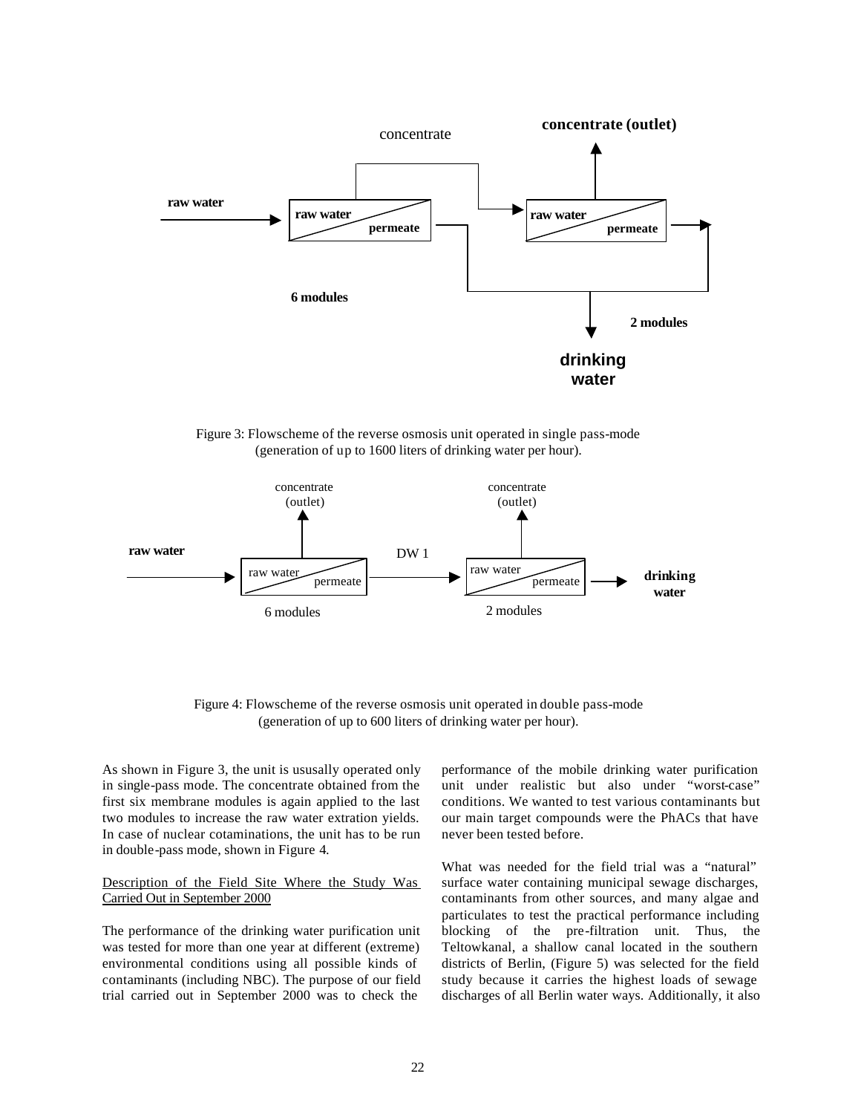

Figure 3: Flowscheme of the reverse osmosis unit operated in single pass-mode (generation of up to 1600 liters of drinking water per hour).



Figure 4: Flowscheme of the reverse osmosis unit operated in double pass-mode (generation of up to 600 liters of drinking water per hour).

As shown in Figure 3, the unit is ususally operated only in single-pass mode. The concentrate obtained from the first six membrane modules is again applied to the last two modules to increase the raw water extration yields. In case of nuclear cotaminations, the unit has to be run in double-pass mode, shown in Figure 4.

Description of the Field Site Where the Study Was Carried Out in September 2000

The performance of the drinking water purification unit was tested for more than one year at different (extreme) environmental conditions using all possible kinds of contaminants (including NBC). The purpose of our field trial carried out in September 2000 was to check the

performance of the mobile drinking water purification unit under realistic but also under "worst-case" conditions. We wanted to test various contaminants but our main target compounds were the PhACs that have never been tested before.

What was needed for the field trial was a "natural" surface water containing municipal sewage discharges, contaminants from other sources, and many algae and particulates to test the practical performance including blocking of the pre-filtration unit. Thus, the Teltowkanal, a shallow canal located in the southern districts of Berlin, (Figure 5) was selected for the field study because it carries the highest loads of sewage discharges of all Berlin water ways. Additionally, it also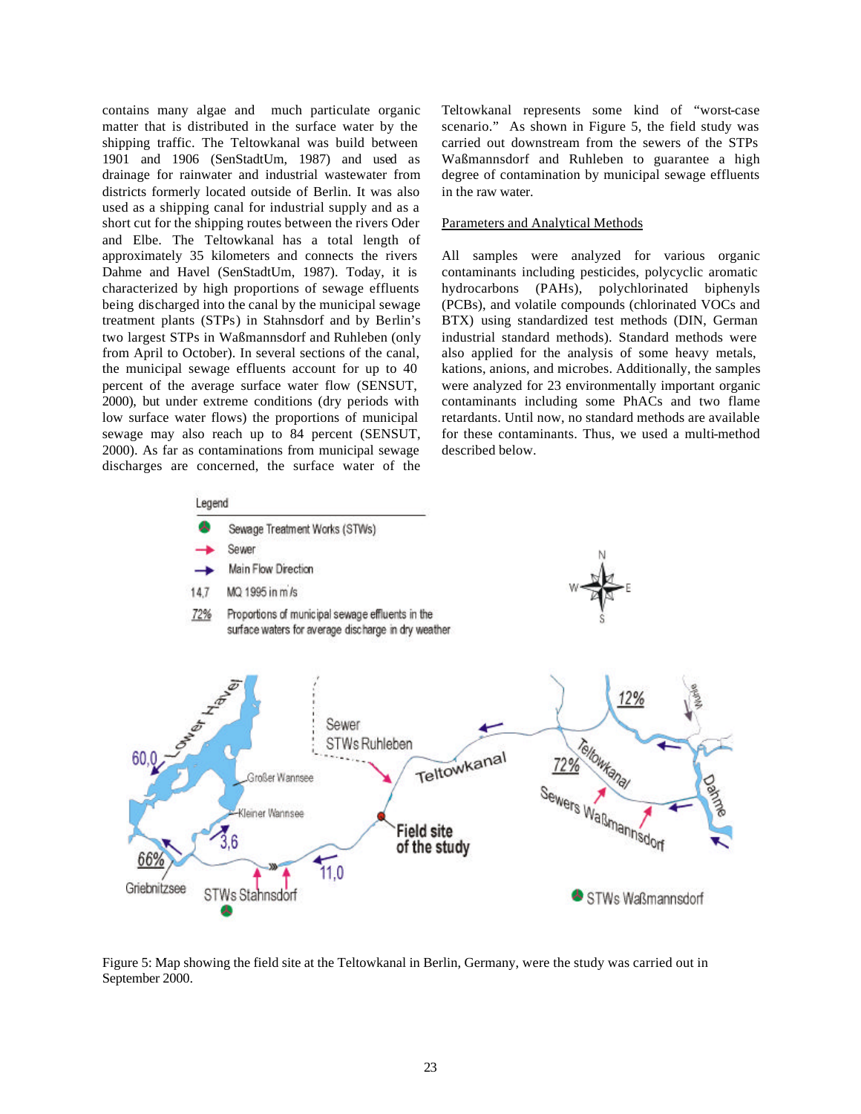contains many algae and much particulate organic matter that is distributed in the surface water by the shipping traffic. The Teltowkanal was build between 1901 and 1906 (SenStadtUm, 1987) and used as drainage for rainwater and industrial wastewater from districts formerly located outside of Berlin. It was also used as a shipping canal for industrial supply and as a short cut for the shipping routes between the rivers Oder and Elbe. The Teltowkanal has a total length of approximately 35 kilometers and connects the rivers Dahme and Havel (SenStadtUm, 1987). Today, it is characterized by high proportions of sewage effluents being discharged into the canal by the municipal sewage treatment plants (STPs) in Stahnsdorf and by Berlin's two largest STPs in Waßmannsdorf and Ruhleben (only from April to October). In several sections of the canal, the municipal sewage effluents account for up to 40 percent of the average surface water flow (SENSUT, 2000), but under extreme conditions (dry periods with low surface water flows) the proportions of municipal sewage may also reach up to 84 percent (SENSUT, 2000). As far as contaminations from municipal sewage discharges are concerned, the surface water of the Teltowkanal represents some kind of "worst-case scenario." As shown in Figure 5, the field study was carried out downstream from the sewers of the STPs Waßmannsdorf and Ruhleben to guarantee a high degree of contamination by municipal sewage effluents in the raw water.

#### Parameters and Analytical Methods

All samples were analyzed for various organic contaminants including pesticides, polycyclic aromatic hydrocarbons (PAHs), polychlorinated biphenyls (PCBs), and volatile compounds (chlorinated VOCs and BTX) using standardized test methods (DIN, German industrial standard methods). Standard methods were also applied for the analysis of some heavy metals, kations, anions, and microbes. Additionally, the samples were analyzed for 23 environmentally important organic contaminants including some PhACs and two flame retardants. Until now, no standard methods are available for these contaminants. Thus, we used a multi-method described below.



Figure 5: Map showing the field site at the Teltowkanal in Berlin, Germany, were the study was carried out in September 2000.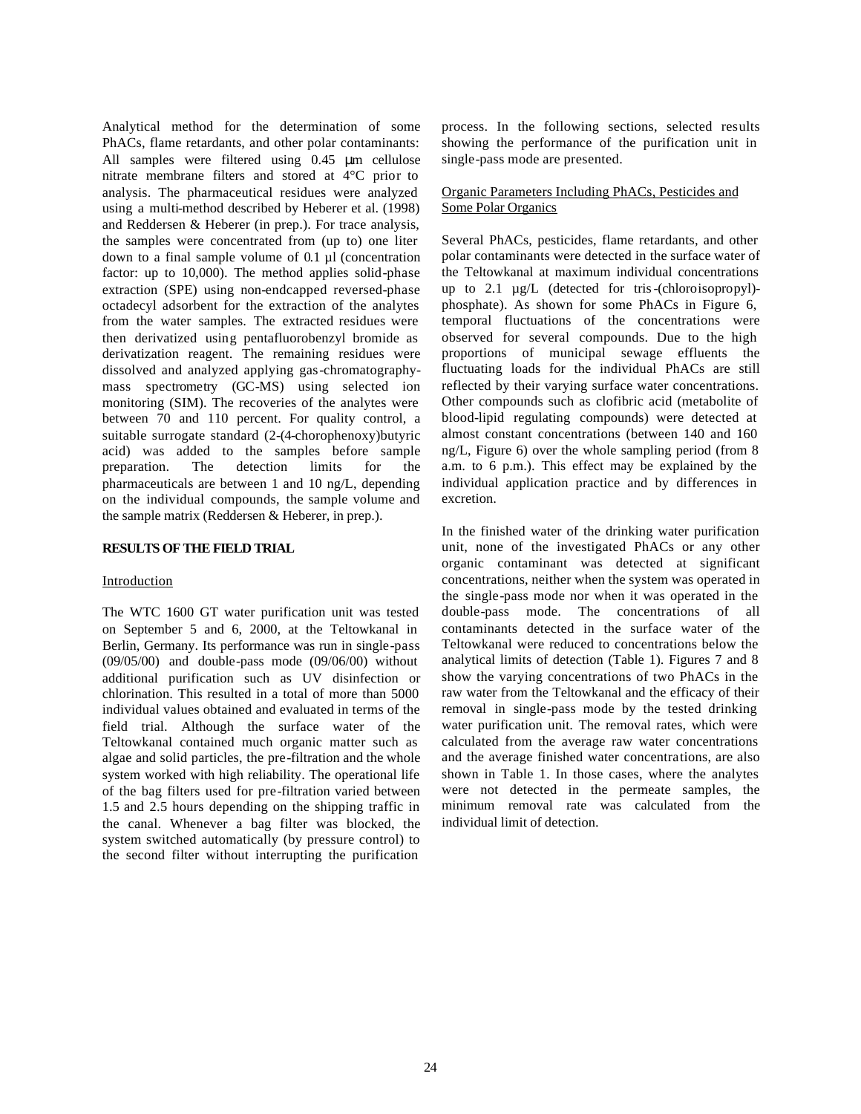Analytical method for the determination of some PhACs, flame retardants, and other polar contaminants: All samples were filtered using 0.45 μm cellulose nitrate membrane filters and stored at 4°C prior to analysis. The pharmaceutical residues were analyzed using a multi-method described by Heberer et al. (1998) and Reddersen & Heberer (in prep.). For trace analysis, the samples were concentrated from (up to) one liter down to a final sample volume of 0.1 µl (concentration factor: up to 10,000). The method applies solid-phase extraction (SPE) using non-endcapped reversed-phase octadecyl adsorbent for the extraction of the analytes from the water samples. The extracted residues were then derivatized using pentafluorobenzyl bromide as derivatization reagent. The remaining residues were dissolved and analyzed applying gas-chromatographymass spectrometry (GC-MS) using selected ion monitoring (SIM). The recoveries of the analytes were between 70 and 110 percent. For quality control, a suitable surrogate standard (2-(4-chorophenoxy)butyric acid) was added to the samples before sample preparation. The detection limits for the pharmaceuticals are between 1 and 10 ng/L, depending on the individual compounds, the sample volume and the sample matrix (Reddersen & Heberer, in prep.).

#### **RESULTS OF THE FIELD TRIAL**

#### **Introduction**

The WTC 1600 GT water purification unit was tested on September 5 and 6, 2000, at the Teltowkanal in Berlin, Germany. Its performance was run in single-pass (09/05/00) and double-pass mode (09/06/00) without additional purification such as UV disinfection or chlorination. This resulted in a total of more than 5000 individual values obtained and evaluated in terms of the field trial. Although the surface water of the Teltowkanal contained much organic matter such as algae and solid particles, the pre-filtration and the whole system worked with high reliability. The operational life of the bag filters used for pre-filtration varied between 1.5 and 2.5 hours depending on the shipping traffic in the canal. Whenever a bag filter was blocked, the system switched automatically (by pressure control) to the second filter without interrupting the purification

process. In the following sections, selected results showing the performance of the purification unit in single-pass mode are presented.

## Organic Parameters Including PhACs, Pesticides and Some Polar Organics

Several PhACs, pesticides, flame retardants, and other polar contaminants were detected in the surface water of the Teltowkanal at maximum individual concentrations up to 2.1 µg/L (detected for tris-(chloroisopropyl) phosphate). As shown for some PhACs in Figure 6, temporal fluctuations of the concentrations were observed for several compounds. Due to the high proportions of municipal sewage effluents the fluctuating loads for the individual PhACs are still reflected by their varying surface water concentrations. Other compounds such as clofibric acid (metabolite of blood-lipid regulating compounds) were detected at almost constant concentrations (between 140 and 160 ng/L, Figure 6) over the whole sampling period (from 8 a.m. to 6 p.m.). This effect may be explained by the individual application practice and by differences in excretion.

In the finished water of the drinking water purification unit, none of the investigated PhACs or any other organic contaminant was detected at significant concentrations, neither when the system was operated in the single-pass mode nor when it was operated in the double-pass mode. The concentrations of all contaminants detected in the surface water of the Teltowkanal were reduced to concentrations below the analytical limits of detection (Table 1). Figures 7 and 8 show the varying concentrations of two PhACs in the raw water from the Teltowkanal and the efficacy of their removal in single-pass mode by the tested drinking water purification unit. The removal rates, which were calculated from the average raw water concentrations and the average finished water concentrations, are also shown in Table 1. In those cases, where the analytes were not detected in the permeate samples, the minimum removal rate was calculated from the individual limit of detection.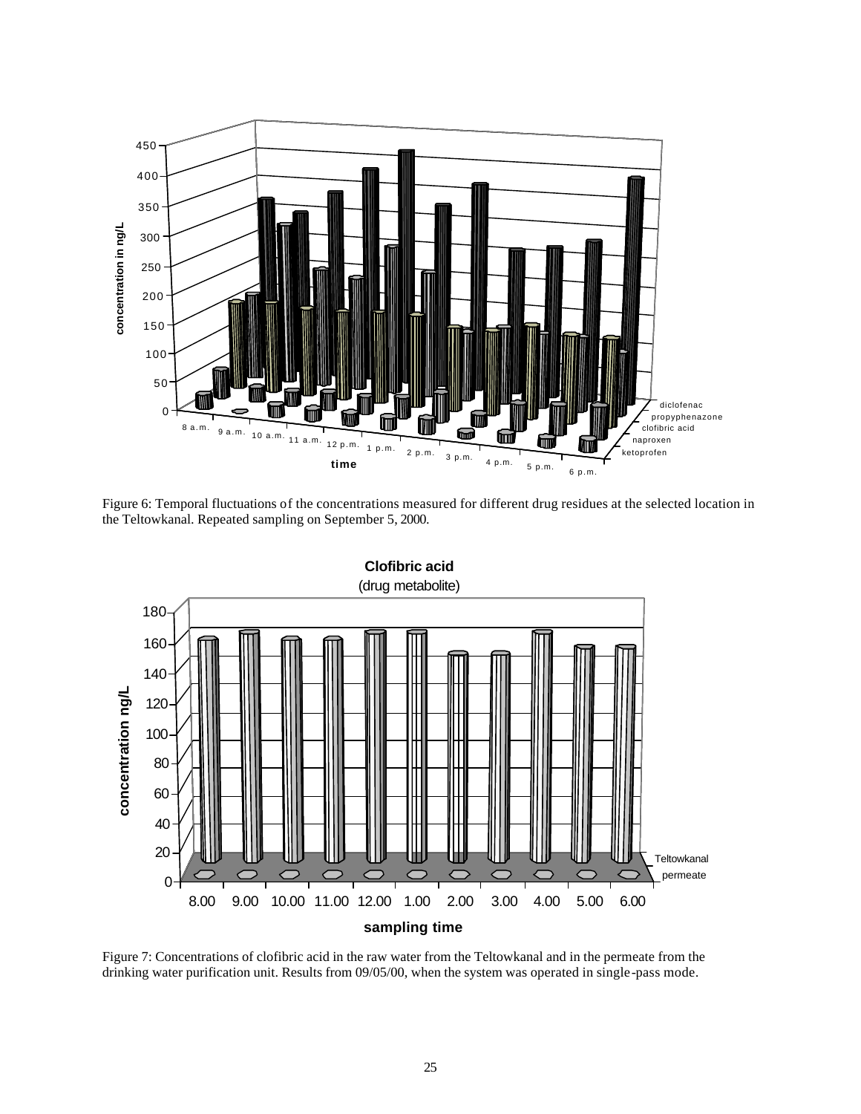

Figure 6: Temporal fluctuations of the concentrations measured for different drug residues at the selected location in the Teltowkanal. Repeated sampling on September 5, 2000.



Figure 7: Concentrations of clofibric acid in the raw water from the Teltowkanal and in the permeate from the drinking water purification unit. Results from 09/05/00, when the system was operated in single-pass mode.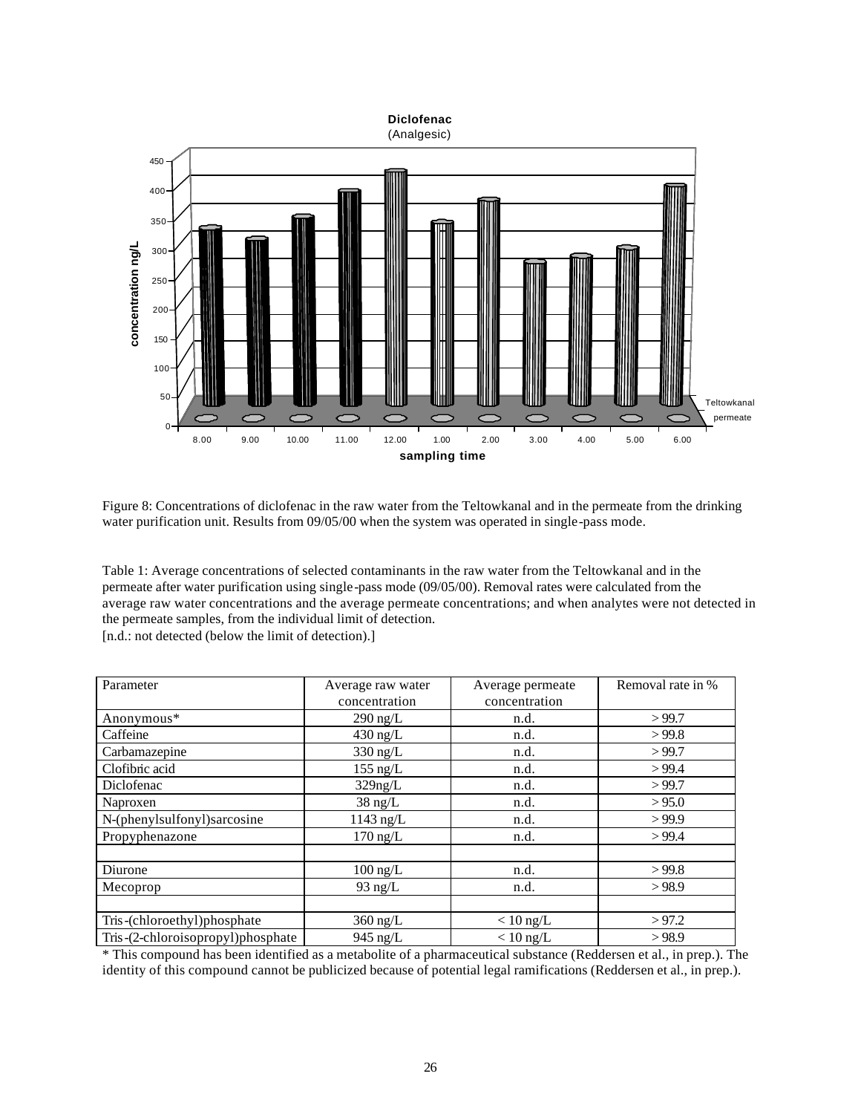

Figure 8: Concentrations of diclofenac in the raw water from the Teltowkanal and in the permeate from the drinking water purification unit. Results from 09/05/00 when the system was operated in single-pass mode.

Table 1: Average concentrations of selected contaminants in the raw water from the Teltowkanal and in the permeate after water purification using single-pass mode (09/05/00). Removal rates were calculated from the average raw water concentrations and the average permeate concentrations; and when analytes were not detected in the permeate samples, from the individual limit of detection.

[n.d.: not detected (below the limit of detection).]

| Parameter                         | Average raw water<br>Average permeate |               | Removal rate in % |  |
|-----------------------------------|---------------------------------------|---------------|-------------------|--|
|                                   | concentration                         | concentration |                   |  |
| Anonymous*                        | $290$ ng/L                            | n.d.          | >99.7             |  |
| Caffeine                          | $430$ ng/L                            | n.d.          | >99.8             |  |
| Carbamazepine                     | 330 ng/L<br>n.d.                      |               | >99.7             |  |
| Clofibric acid                    | $155$ ng/L                            | n.d.          | >99.4             |  |
| Diclofenac                        | $329$ ng/L                            | n.d.          | >99.7             |  |
| Naproxen                          | $38 \text{ ng/L}$                     | n.d.          | > 95.0            |  |
| N-(phenylsulfonyl)sarcosine       | $1143$ ng/L                           | n.d.          | >99.9             |  |
| Propyphenazone                    | $170$ ng/L                            | n.d.          | > 99.4            |  |
|                                   |                                       |               |                   |  |
| Diurone                           | $100$ ng/L                            | n.d.          | >99.8             |  |
| Mecoprop                          | 93 ng/ $L$                            | n.d.          | >98.9             |  |
|                                   |                                       |               |                   |  |
| Tris-(chloroethyl)phosphate       | $360$ ng/L                            | $< 10$ ng/L   | >97.2             |  |
| Tris-(2-chloroisopropyl)phosphate | $945$ ng/L                            | $< 10$ ng/L   | >98.9             |  |

\* This compound has been identified as a metabolite of a pharmaceutical substance (Reddersen et al., in prep.). The identity of this compound cannot be publicized because of potential legal ramifications (Reddersen et al., in prep.).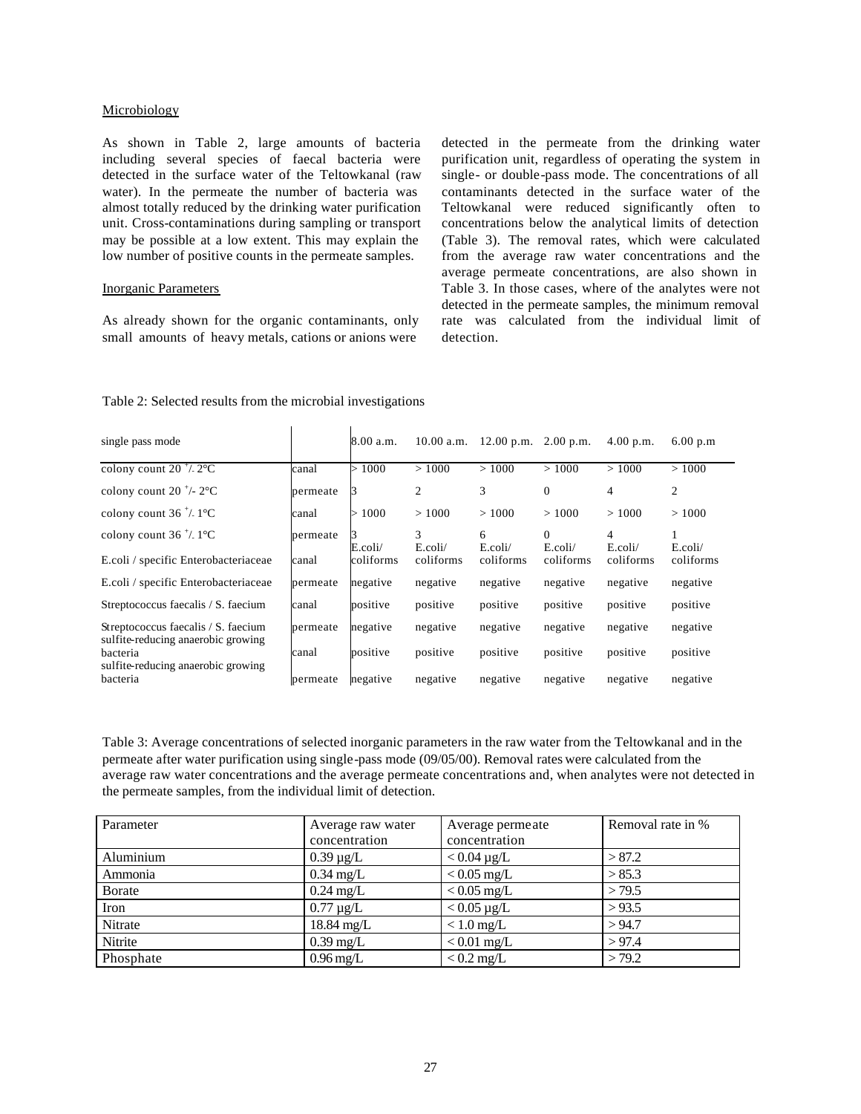#### Microbiology

As shown in Table 2, large amounts of bacteria including several species of faecal bacteria were detected in the surface water of the Teltowkanal (raw water). In the permeate the number of bacteria was almost totally reduced by the drinking water purification unit. Cross-contaminations during sampling or transport may be possible at a low extent. This may explain the low number of positive counts in the permeate samples.

#### Inorganic Parameters

As already shown for the organic contaminants, only small amounts of heavy metals, cations or anions were

detected in the permeate from the drinking water purification unit, regardless of operating the system in single- or double-pass mode. The concentrations of all contaminants detected in the surface water of the Teltowkanal were reduced significantly often to concentrations below the analytical limits of detection (Table 3). The removal rates, which were calculated from the average raw water concentrations and the average permeate concentrations, are also shown in Table 3. In those cases, where of the analytes were not detected in the permeate samples, the minimum removal rate was calculated from the individual limit of detection.

| single pass mode                                                          |          | 8.00 a.m.                | 10.00 a.m.   | $12.00$ p.m. $2.00$ p.m. |                     | 4.00 p.m.    | 6.00 p.m  |
|---------------------------------------------------------------------------|----------|--------------------------|--------------|--------------------------|---------------------|--------------|-----------|
| colony count $20^{-1}$ /. $2^{\circ}$ C                                   | canal    | 1000<br>$\triangleright$ | >1000        | >1000                    | >1000               | >1000        | >1000     |
| colony count 20 $^+/$ - 2 $^{\circ}$ C                                    | permeate |                          | 2            | 3                        | $\Omega$            | 4            | 2         |
| colony count $36 \frac{4}{5}$ . 1 <sup>o</sup> C                          | canal    | 1000<br>$\geq$           | >1000        | >1000                    | >1000               | >1000        | >1000     |
| colony count $36 \frac{4}{5}$ . 1 <sup>o</sup> C                          | permeate | E.coli/                  | 3<br>E.coli/ | 6<br>$E_{\rm}.colli/$    | $\Omega$<br>E.coli/ | 4<br>E.coli/ | E.coli/   |
| E.coli / specific Enterobacteriaceae                                      | canal    | coliforms                | coliforms    | coliforms                | coliforms           | coliforms    | coliforms |
| E.coli / specific Enterobacteriaceae                                      | permeate | negative                 | negative     | negative                 | negative            | negative     | negative  |
| Streptococcus faecalis / S. faecium                                       | canal    | positive                 | positive     | positive                 | positive            | positive     | positive  |
| Streptococcus faecalis / S. faecium<br>sulfite-reducing anaerobic growing | permeate | negative                 | negative     | negative                 | negative            | negative     | negative  |
| <b>bacteria</b><br>sulfite-reducing anaerobic growing                     | canal    | positive                 | positive     | positive                 | positive            | positive     | positive  |
| bacteria                                                                  | permeate | negative                 | negative     | negative                 | negative            | negative     | negative  |

## Table 2: Selected results from the microbial investigations

Table 3: Average concentrations of selected inorganic parameters in the raw water from the Teltowkanal and in the permeate after water purification using single-pass mode (09/05/00). Removal rates were calculated from the average raw water concentrations and the average permeate concentrations and, when analytes were not detected in the permeate samples, from the individual limit of detection.

| Parameter | Average raw water      | Average permeate | Removal rate in % |
|-----------|------------------------|------------------|-------------------|
|           | concentration          | concentration    |                   |
| Aluminium | $0.39 \mu g/L$         | $< 0.04 \mu$ g/L | > 87.2            |
| Ammonia   | $0.34 \text{ mg/L}$    | $< 0.05$ mg/L    | > 85.3            |
| Borate    | $0.24 \text{ mg/L}$    | $< 0.05$ mg/L    | >79.5             |
| Iron      | $0.77 \mu$ g/L         | $< 0.05 \mu g/L$ | >93.5             |
| Nitrate   | 18.84 mg/L             | $< 1.0$ mg/L     | > 94.7            |
| Nitrite   | $0.39 \text{ mg/L}$    | $< 0.01$ mg/L    | >97.4             |
| Phosphate | $0.96 \,\mathrm{mg/L}$ | $< 0.2$ mg/L     | >79.2             |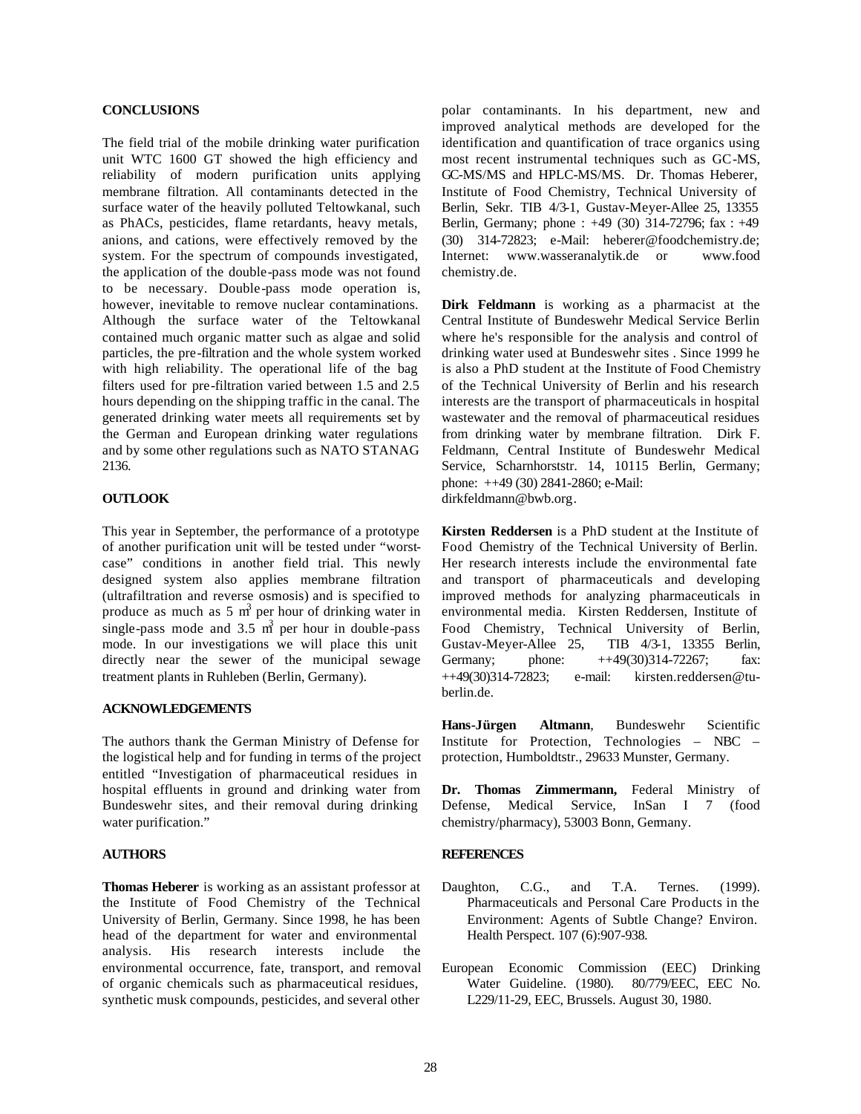#### **CONCLUSIONS**

The field trial of the mobile drinking water purification unit WTC 1600 GT showed the high efficiency and reliability of modern purification units applying membrane filtration. All contaminants detected in the surface water of the heavily polluted Teltowkanal, such as PhACs, pesticides, flame retardants, heavy metals, anions, and cations, were effectively removed by the system. For the spectrum of compounds investigated, the application of the double-pass mode was not found to be necessary. Double-pass mode operation is, however, inevitable to remove nuclear contaminations. Although the surface water of the Teltowkanal contained much organic matter such as algae and solid particles, the pre-filtration and the whole system worked with high reliability. The operational life of the bag filters used for pre-filtration varied between 1.5 and 2.5 hours depending on the shipping traffic in the canal. The generated drinking water meets all requirements set by the German and European drinking water regulations and by some other regulations such as NATO STANAG 2136.

## **OUTLOOK**

This year in September, the performance of a prototype of another purification unit will be tested under "worstcase" conditions in another field trial. This newly designed system also applies membrane filtration (ultrafiltration and reverse osmosis) and is specified to produce as much as  $5 \text{ m}^3$  per hour of drinking water in single-pass mode and  $3.5 \text{ m}^3$  per hour in double-pass mode. In our investigations we will place this unit directly near the sewer of the municipal sewage treatment plants in Ruhleben (Berlin, Germany).

## **ACKNOWLEDGEMENTS**

The authors thank the German Ministry of Defense for the logistical help and for funding in terms of the project entitled "Investigation of pharmaceutical residues in hospital effluents in ground and drinking water from Bundeswehr sites, and their removal during drinking water purification."

## **AUTHORS**

**Thomas Heberer** is working as an assistant professor at the Institute of Food Chemistry of the Technical University of Berlin, Germany. Since 1998, he has been head of the department for water and environmental analysis. His research interests include the environmental occurrence, fate, transport, and removal of organic chemicals such as pharmaceutical residues, synthetic musk compounds, pesticides, and several other polar contaminants. In his department, new and improved analytical methods are developed for the identification and quantification of trace organics using most recent instrumental techniques such as GC-MS, GC-MS/MS and HPLC-MS/MS. Dr. Thomas Heberer, Institute of Food Chemistry, Technical University of Berlin, Sekr. TIB 4/3-1, Gustav-Meyer-Allee 25, 13355 Berlin, Germany; phone : +49 (30) 314-72796; fax : +49 (30) 314-72823; e-Mail: heberer@foodchemistry.de; Internet: www.wasseranalytik.de or www.food chemistry.de.

**Dirk Feldmann** is working as a pharmacist at the Central Institute of Bundeswehr Medical Service Berlin where he's responsible for the analysis and control of drinking water used at Bundeswehr sites . Since 1999 he is also a PhD student at the Institute of Food Chemistry of the Technical University of Berlin and his research interests are the transport of pharmaceuticals in hospital wastewater and the removal of pharmaceutical residues from drinking water by membrane filtration. Dirk F. Feldmann, Central Institute of Bundeswehr Medical Service, Scharnhorststr. 14, 10115 Berlin, Germany; phone: ++49 (30) 2841-2860; e-Mail: dirkfeldmann@bwb.org.

**Kirsten Reddersen** is a PhD student at the Institute of Food Chemistry of the Technical University of Berlin. Her research interests include the environmental fate and transport of pharmaceuticals and developing improved methods for analyzing pharmaceuticals in environmental media. Kirsten Reddersen, Institute of Food Chemistry, Technical University of Berlin, Gustav-Meyer-Allee 25, TIB 4/3-1, 13355 Berlin, Germany; phone:  $++49(30)314-72267$ ; fax: ++49(30)314-72823; e-mail: kirsten.reddersen@tuberlin.de.

**Hans-Jürgen Altmann**, Bundeswehr Scientific Institute for Protection, Technologies – NBC – protection, Humboldtstr., 29633 Munster, Germany.

**Dr. Thomas Zimmermann,** Federal Ministry of Defense, Medical Service, InSan I 7 (food chemistry/pharmacy), 53003 Bonn, Germany.

## **REFERENCES**

- Daughton, C.G., and T.A. Ternes. (1999). Pharmaceuticals and Personal Care Products in the Environment: Agents of Subtle Change? Environ. Health Perspect. 107 (6):907-938.
- European Economic Commission (EEC) Drinking Water Guideline. (1980). 80/779/EEC, EEC No. L229/11-29, EEC, Brussels. August 30, 1980.